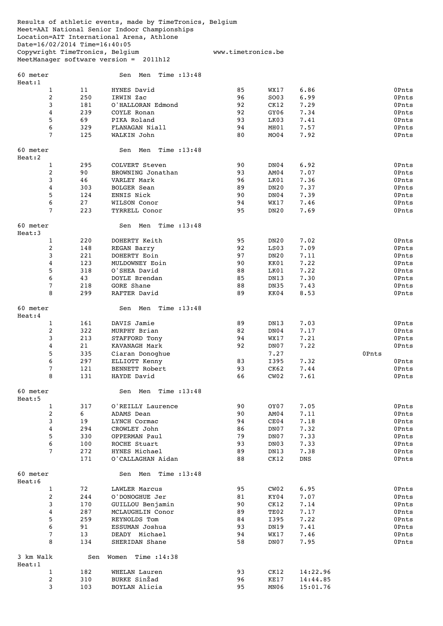Results of athletic events, made by TimeTronics, Belgium Meet=AAI National Senior Indoor Championships Location=AIT International Arena, Athlone Date=16/02/2014 Time=16:40:05 Copywright TimeTronics, Belgium www.timetronics.be MeetManager software version = 2011h12

| 60 meter<br>Heat:1  |            | Time : $13:48$<br>Sen Men          |          |                  |             |                |
|---------------------|------------|------------------------------------|----------|------------------|-------------|----------------|
| $\mathbf{1}$        | 11         | HYNES David                        | 85       | WX17             | 6.86        | 0Pnts          |
| 2                   | 250        | IRWIN Zac                          | 96       | SO03             | 6.99        | 0Pnts          |
| 3                   | 181        | O'HALLORAN Edmond                  | 92       | CK12             | 7.29        | 0Pnts          |
| 4                   | 239        | COYLE Ronan                        | 92       | GY06             | 7.34        | 0Pnts          |
| 5                   | 69         | PIKA Roland                        | 93       | LK03             | 7.41        | 0Pnts          |
| 6                   | 329        | FLANAGAN Niall                     | 94       | MH01             | 7.57        | 0Pnts          |
| 7                   | 125        | WALKIN John                        | 80       | MO04             | 7.92        | 0Pnts          |
| 60 meter            |            | Time : $13:48$<br>Sen Men          |          |                  |             |                |
| Heat:2              |            |                                    |          |                  |             |                |
| $\mathbf{1}$        | 295        | COLVERT Steven                     | 90       | DN04             | 6.92        | 0Pnts          |
| 2                   | 90         | BROWNING Jonathan                  | 93       | AM04             | 7.07        | 0Pnts          |
| 3                   | 46         | VARLEY Mark                        | 96       | LK01             | 7.36        | 0Pnts          |
| 4                   | 303        | <b>BOLGER Sean</b>                 | 89       | DN <sub>20</sub> | 7.37        | 0Pnts          |
| 5                   | 124        | ENNIS Nick                         | 90       | DN04             | 7.39        | 0Pnts          |
| 6                   | 27         | WILSON Conor                       | 94       | WX17             | 7.46        | 0Pnts          |
| 7                   | 223        | TYRRELL Conor                      | 95       | DN20             | 7.69        | 0Pnts          |
| 60 meter<br>Heat:3  |            | Time : $13:48$<br>Sen Men          |          |                  |             |                |
| $\mathbf{1}$        | 220        | DOHERTY Keith                      | 95       | DN <sub>20</sub> | 7.02        | 0Pnts          |
| $\overline{c}$      | 148        | REGAN Barry                        | 92       | LS03             | 7.09        | 0Pnts          |
| 3                   | 221        | DOHERTY Eoin                       | 97       | DN <sub>20</sub> | 7.11        | 0Pnts          |
| 4                   | 123        | MULDOWNEY Eoin                     | 90       | KK01             | 7.22        | 0Pnts          |
| 5                   | 318        | O'SHEA David                       | 88       | LK01             | 7.22        | 0Pnts          |
| 6                   | 43         | DOYLE Brendan                      | 85       | DN13             | 7.30        | 0Pnts          |
| 7                   | 218        | GORE Shane                         | 88       | DN35             | 7.43        | 0Pnts          |
| 8                   | 299        | RAFTER David                       | 89       | KK04             | 8.53        | 0Pnts          |
| 60 meter<br>Heat:4  |            | Sen Men Time: 13:48                |          |                  |             |                |
| $\mathbf{1}$        | 161        | DAVIS Jamie                        | 89       | DN13             | 7.03        | 0Pnts          |
| 2                   | 322        | MURPHY Brian                       | 82       | DN04             | 7.17        | 0Pnts          |
| 3                   | 213        | STAFFORD Tony                      | 94       | WX17             | 7.21        | 0Pnts          |
| 4                   | 21         | KAVANAGH Mark                      | 92       | DN07             | 7.22        | 0Pnts          |
| 5                   | 335        | Ciaran Donoghue                    |          | 7.27             |             | 0Pnts          |
| 6                   | 297        | ELLIOTT Kenny                      | 83       | I395             | 7.32        | 0Pnts          |
| 7                   | 121        | BENNETT Robert                     | 93       | CK62             | 7.44        | 0Pnts          |
| 8                   | 131        | HAYDE David                        | 66       | CWO2             | 7.61        | 0Pnts          |
| 60 meter<br>Heat:5  |            | Time $:13:48$<br>Sen Men           |          |                  |             |                |
| 1                   | 317        | O'REILLY Laurence                  | 90       | OY07             | 7.05        | 0Pnts          |
| 2                   | 6          | ADAMS Dean                         | 90       | AM04             | 7.11        | 0Pnts          |
| 3                   | 19         | LYNCH Cormac                       | 94       | CE04             | 7.18        | 0Pnts          |
| 4                   | 294        | CROWLEY John                       | 86       | DN07             | 7.32        | 0Pnts          |
| 5                   | 330        | OPPERMAN Paul                      | 79       | DN07             | 7.33        | 0Pnts          |
| 6                   | 100        | ROCHE Stuart                       | 93       | DN03             | 7.33        | 0Pnts          |
| 7                   | 272<br>171 | HYNES Michael<br>O'CALLAGHAN Aidan | 89<br>88 | DN13<br>CK12     | 7.38<br>DNS | 0Pnts<br>0Pnts |
| 60 meter            |            | Sen Men<br>Time : 13:48            |          |                  |             |                |
| Heat:6              |            |                                    |          |                  |             |                |
| $\mathbf{1}$        | 72         | LAWLER Marcus                      | 95       | CWO2             | 6.95        | 0Pnts          |
| 2                   | 244        | O'DONOGHUE Jer                     | 81       | KY04             | 7.07        | 0Pnts          |
| 3                   | 170        | GUILLOU Benjamin                   | 90       | CK12             | 7.14        | 0Pnts          |
| 4                   | 287        | MCLAUGHLIN Conor                   | 89       | TE02             | 7.17        | 0Pnts          |
| 5                   | 259        | REYNOLDS Tom                       | 84       | I395             | 7.22        | 0Pnts          |
| 6                   | 91         | ESSUMAN Joshua                     | 93       | DN19             | 7.41        | 0Pnts          |
| 7                   | 13         | DEADY Michael                      | 94       | WX17             | 7.46        | 0Pnts          |
| 8                   | 134        | SHERIDAN Shane                     | 58       | DN07             | 7.95        | 0Pnts          |
| 3 km Walk<br>Heat:1 | Sen        | Time : 14:38<br>Women              |          |                  |             |                |
| $\mathbf{1}$        | 182        | WHELAN Lauren                      | 93       | CK12             | 14:22.96    |                |
| $\overline{c}$      | 310        | BURKE SinŽad                       | 96       | KE17             | 14:44.85    |                |

3 103 BOYLAN Alicia 95 MN06 15:01.76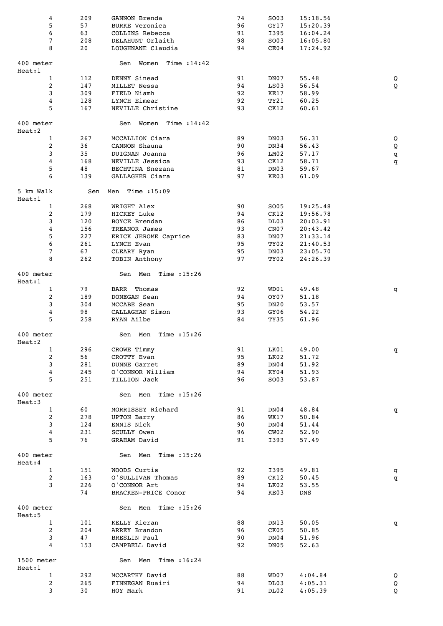| 4                    |                | 209       | GANNON Brenda               | 74       | SO03             | 15:18.56       |                |
|----------------------|----------------|-----------|-----------------------------|----------|------------------|----------------|----------------|
| 5                    |                | 57        | <b>BURKE Veronica</b>       | 96       | GY17             | 15:20.39       |                |
| 6                    |                | 63        | COLLINS Rebecca             | 91       | I395             | 16:04.24       |                |
| 7                    |                | 208       | DELAHUNT Orlaith            | 98       | SO03             | 16:05.80       |                |
| 8                    |                | 20        | LOUGHNANE Claudia           | 94       | CE04             | 17:24.92       |                |
|                      |                |           |                             |          |                  |                |                |
| 400 meter<br>Heat:1  |                |           | Time : $14:42$<br>Sen Women |          |                  |                |                |
|                      | $\mathbf{1}$   | 112       | DENNY Sinead                | 91       | DN07             | 55.48          | Q              |
| 2                    |                | 147       | MILLET Nessa                | 94       | LS03             | 56.54          | $\overline{Q}$ |
| 3                    |                | 309       | FIELD Niamh                 | 92       | KE17             | 58.99          |                |
| 4                    |                | 128       | LYNCH Eimear                | 92       | TY21             | 60.25          |                |
| 5                    |                | 167       | NEVILLE Christine           | 93       | CK12             | 60.61          |                |
|                      |                |           |                             |          |                  |                |                |
| 400 meter<br>Heat:2  |                |           | Sen Women Time :14:42       |          |                  |                |                |
|                      | $\mathbf{1}$   | 267       | MCCALLION Ciara             | 89       | DN03             | 56.31          | Q              |
| 2                    |                | 36        | CANNON Shauna               | 90       | DN34             | 56.43          | Q              |
| 3                    |                | 35        | DUIGNAN Joanna              | 96       | LM02             | 57.17          | q              |
| 4                    |                | 168       | NEVILLE Jessica             | 93       | CK12             | 58.71          | q              |
| 5                    |                | 48        | BECHTINA Snezana            | 81       | DN03             | 59.67          |                |
| 6                    |                | 139       | GALLAGHER Ciara             | 97       | KE03             | 61.09          |                |
| 5 km Walk<br>Heat:1  |                | Sen       | Men Time $:15:09$           |          |                  |                |                |
|                      | $\mathbf{1}$   | 268       | WRIGHT Alex                 | 90       | SO05             | 19:25.48       |                |
| 2                    |                | 179       | HICKEY Luke                 | 94       | CK12             | 19:56.78       |                |
| 3                    |                | 120       | <b>BOYCE Brendan</b>        | 86       | DL03             | 20:03.91       |                |
| 4                    |                | 156       | TREANOR James               | 93       | CNO7             | 20:43.42       |                |
| 5                    |                | 227       | ERICK JEROME Caprice        | 83       | DN07             | 21:33.14       |                |
| 6                    |                | 261       | LYNCH Evan                  | 95       | TY02             | 21:40.53       |                |
| 7                    |                | 67        | CLEARY Ryan                 | 95       | DN03             | 23:05.70       |                |
| 8                    |                | 262       | TOBIN Anthony               | 97       | TY02             | 24:26.39       |                |
| 400 meter            |                |           | Sen Men Time:15:26          |          |                  |                |                |
| Heat:1               |                |           |                             |          |                  |                |                |
|                      | $\mathbf{1}$   | 79        | <b>BARR</b> Thomas          | 92       | WD01             | 49.48          | q              |
| 2                    |                | 189       | DONEGAN Sean<br>MCCABE Sean | 94       | OY07             | 51.18<br>53.57 |                |
| 3<br>4               |                | 304<br>98 | CALLAGHAN Simon             | 95<br>93 | DN20<br>GY06     | 54.22          |                |
| 5                    |                | 258       | RYAN Ailbe                  | 84       | TY35             | 61.96          |                |
|                      |                |           |                             |          |                  |                |                |
| 400 meter            |                |           | Time : 15:26<br>Sen<br>Men  |          |                  |                |                |
| Heat:2               |                |           |                             |          |                  |                |                |
| 1                    |                | 296       | CROWE Timmy                 | 91       | LK01             | 49.00          | q              |
| $\overline{c}$       |                | 56        | CROTTY Evan                 | 95       | LK02             | 51.72          |                |
| 3                    |                | 281       | <b>DUNNE Garret</b>         | 89       | DN04             | 51.92          |                |
| 4                    |                | 245       | O'CONNOR William            | 94       | KY04             | 51.93          |                |
| 5                    |                | 251       | TILLION Jack                | 96       | SO03             | 53.87          |                |
| 400 meter            |                |           | Sen Men Time : 15:26        |          |                  |                |                |
| Heat:3               |                |           |                             |          |                  |                |                |
| 1                    |                | 60        | MORRISSEY Richard           | 91       | DN04             | 48.84          | q              |
| 2                    |                | 278       | <b>UPTON Barry</b>          | 86       | WX17             | 50.84          |                |
| 3                    |                | 124       | ENNIS Nick                  | 90       | DN04             | 51.44          |                |
| $\overline{4}$       |                | 231       | SCULLY Owen                 | 96       | CWO2             | 52.90          |                |
| 5                    |                | 76        | GRAHAM David                | 91       | I393             | 57.49          |                |
| 400 meter            |                |           | Sen Men Time : 15:26        |          |                  |                |                |
| Heat:4<br>1          |                | 151       | WOODS Curtis                | 92       | I395             | 49.81          |                |
|                      | $\overline{2}$ | 163       | O'SULLIVAN Thomas           | 89       | CK12             | 50.45          | q              |
| 3                    |                | 226       | O'CONNOR Art                | 94       | LK02             | 53.55          | q              |
|                      |                | 74        | BRACKEN-PRICE Conor         | 94       | KE03             | DNS            |                |
|                      |                |           |                             |          |                  |                |                |
| 400 meter<br>Heat:5  |                |           | Sen Men Time : 15:26        |          |                  |                |                |
|                      | $\mathbf{1}$   | 101       | KELLY Kieran                | 88       | DN13             | 50.05          | q              |
| 2                    |                | 204       | ARREY Brandon               | 96       | CK05             | 50.85          |                |
| 3                    |                | 47        | BRESLIN Paul                | 90       | DN04             | 51.96          |                |
| $\overline{4}$       |                | 153       | CAMPBELL David              | 92       | DN <sub>05</sub> | 52.63          |                |
| 1500 meter<br>Heat:1 |                |           | Sen Men Time : 16:24        |          |                  |                |                |
|                      | $\mathbf{1}$   | 292       | MCCARTHY David              | 88       | WD07             | 4:04.84        | Q              |
| 2                    |                | 265       | FINNEGAN Ruairi             | 94       | DL03             | 4:05.31        | Q              |
|                      | 3              | 30        | HOY Mark                    | 91       | DL02             | 4:05.39        | Q              |
|                      |                |           |                             |          |                  |                |                |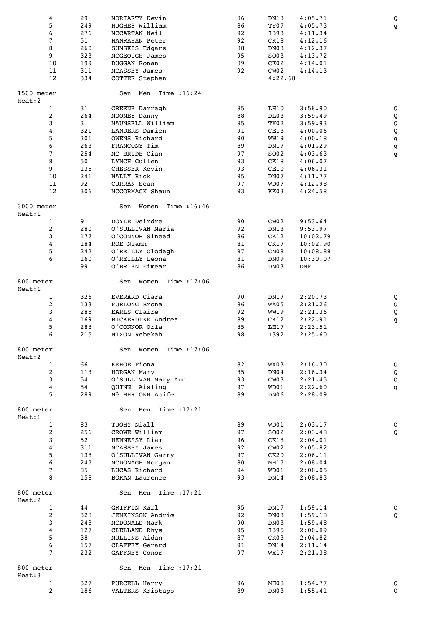|                      | 4<br>5         | 29<br>249  | MORIARTY Kevin<br>HUGHES William | 86<br>86 | DN13<br>TY07 | 4:05.71<br>4:05.73 | Q            |
|----------------------|----------------|------------|----------------------------------|----------|--------------|--------------------|--------------|
|                      | 6              | 276        | MCCARTAN Neil                    | 92       | I393         | 4:11.34            | q            |
|                      | 7              | 51         | HANRAHAN Peter                   | 92       | CK18         | 4:12.16            |              |
|                      | 8              | 260        | SUMSKIS Edgars                   | 88       | DN03         | 4:12.37            |              |
|                      | 9              | 323        | <b>MCGEOUGH James</b>            | 95       | SO03         | 4:13.72            |              |
|                      | 10             | 199        | DUGGAN Ronan                     | 89       | CKO2         | 4:14.01            |              |
|                      | 11             | 311        | <b>MCASSEY James</b>             | 92       | CW02         | 4:14.13            |              |
|                      | 12             | 334        | COTTER Stephen                   |          | 4:22.68      |                    |              |
| 1500 meter<br>Heat:2 |                |            | Sen Men Time : 16:24             |          |              |                    |              |
|                      | 1              | 31         | GREENE Darragh                   | 85       | LH10         | 3:58.90            | Q            |
|                      | $\overline{c}$ | 264        | MOONEY Danny                     | 88       | DL03         | 3:59.49            | Q            |
|                      | 3              | 3          | MAUNSELL William                 | 85       | TY02         | 3:59.93            | $\mathsf Q$  |
|                      | 4              | 321        | LANDERS Damien                   | 91       | CE13         | 4:00.06            | $\mathsf Q$  |
|                      | 5              | 301        | OWENS Richard                    | 90       | <b>WW19</b>  | 4:00.18            | $\mathtt{q}$ |
|                      | 6<br>7         | 263<br>254 | FRANCONY Tim<br>MC BRIDE Cian    | 89<br>97 | DN17<br>SO02 | 4:01.29<br>4:03.63 | q            |
|                      | 8              | 50         | LYNCH Cullen                     | 93       | CK18         | 4:06.07            | q            |
|                      | 9              | 135        | CHESSER Kevin                    | 93       | CE10         | 4:06.31            |              |
|                      | 10             | 241        | NALLY Rick                       | 95       | DN07         | 4:11.77            |              |
|                      | 11             | 92         | CURRAN Sean                      | 97       | WD07         | 4:12.98            |              |
|                      | 12             | 306        | MCCORMACK Shaun                  | 93       | KK03         | 4:24.58            |              |
| 3000 meter<br>Heat:1 |                |            | Women Time : 16:46<br>Sen        |          |              |                    |              |
|                      | 1              | 9          | DOYLE Deirdre                    | 90       | CW02         | 9:53.64            |              |
|                      | 2              | 280        | O'SULLIVAN Maria                 | 92       | DN13         | 9:53.97            |              |
|                      | 3              | 177        | O'CONNOR Sinead                  | 86       | CK12         | 10:02.79           |              |
|                      | 4              | 184        | ROE Niamh                        | 81       | CK17         | 10:02.90           |              |
|                      | 5              | 242        | O'REILLY Clodagh                 | 97       | CNO8         | 10:08.88           |              |
|                      | 6              | 160        | O'REILLY Leona                   | 81       | DN09         | 10:30.07           |              |
|                      |                | 99         | O'BRIEN Eimear                   | 86       | DN03         | DNF                |              |
| 800 meter<br>Heat:1  |                |            | Women Time : 17:06<br>Sen        |          |              |                    |              |
|                      | 1              | 326        | EVERARD Ciara                    | 90       | DN17         | 2:20.73            | Q            |
|                      | $\overline{c}$ | 133        | FURLONG Brona                    | 86       | WX05         | 2:21.26            | Q            |
|                      | 3              | 285        | EARLS Claire                     | 92       | WW19         | 2:21.36            | $\mathsf Q$  |
|                      | 4              | 169        | BICKERDIKE Andrea                | 89       | CK12         | 2:22.91            | q            |
|                      | 5<br>6         | 288<br>215 | O'CONNOR Orla<br>NIXON Rebekah   | 85<br>98 | LH17<br>I392 | 2:23.51<br>2:25.60 |              |
| 800 meter            |                |            | Sen Women Time : 17:06           |          |              |                    |              |
| Heat:2               |                |            |                                  |          |              |                    |              |
|                      | $\mathbf{1}$   | 66         | KEHOE Fiona                      | 82       | WX03         | 2:16.30            | Q            |
|                      | $\overline{c}$ | 113        | HORGAN Mary                      | 85       | DN04         | 2:16.34            | Q            |
|                      | 3              | 54         | O'SULLIVAN Mary Ann              | 93       | CW03         | 2:21.45            | Q            |
|                      | 4              | 84         | QUINN Aisling                    | 97       | WD01         | 2:22.60            | q            |
|                      | 5              | 289        | Nê BHRIONN Aoife                 | 89       | DN06         | 2:28.09            |              |
| 800 meter<br>Heat:1  |                |            | Sen Men Time : 17:21             |          |              |                    |              |
|                      | $\mathbf{1}$   | 83         | TUOHY Niall                      | 89       | WD01         | 2:03.17            | Q            |
|                      | 2              | 256        | CROWE William                    | 97       | SO02         | 2:03.48            | Q            |
|                      | 3              | 52         | HENNESSY Liam                    | 96       | CK18         | 2:04.01            |              |
|                      | 4              | 311        | MCASSEY James                    | 92       | CW02         | 2:05.82            |              |
|                      | 5              | 138        | O'SULLIVAN Garry                 | 97       | CK20         | 2:06.11            |              |
|                      | 6              | 247        | MCDONAGH Morgan                  | 80       | MH17         | 2:08.04            |              |
|                      | 7              | 85         | LUCAS Richard                    | 94       | WD01         | 2:08.05            |              |
|                      | 8              | 158        | <b>BORAN Laurence</b>            | 93       | DN14         | 2:08.83            |              |
| 800 meter<br>Heat:2  |                |            | Sen Men Time : 17:21             |          |              |                    |              |
|                      | $\mathbf{1}$   | 44         | GRIFFIN Karl                     | 95       | DN17         | 1:59.14            | Q            |
|                      | 2              | 328        | JENKINSON Andriœ                 | 92       | DN03         | 1:59.18            | Q            |
|                      | 3              | 248        | MCDONALD Mark                    | 90       | DN03         | 1:59.48            |              |
|                      | 4              | 127        | CLELLAND Rhys                    | 95       | I395         | 2:00.89            |              |
|                      | 5<br>6         | 38<br>157  | MULLINS Aidan                    | 87<br>91 | CK03         | 2:04.82            |              |
|                      | 7              | 232        | CLAFFEY Gerard<br>GAFFNEY Conor  | 97       | DN14<br>WX17 | 2:11.14<br>2:21.38 |              |
| 800 meter            |                |            | Sen Men Time : 17:21             |          |              |                    |              |
| Heat:3               | $\mathbf{1}$   | 327        | PURCELL Harry                    | 96       | MH08         | 1:54.77            | Q            |
|                      | $\overline{2}$ | 186        | VALTERS Kristaps                 | 89       | DN03         | 1:55.41            | Q            |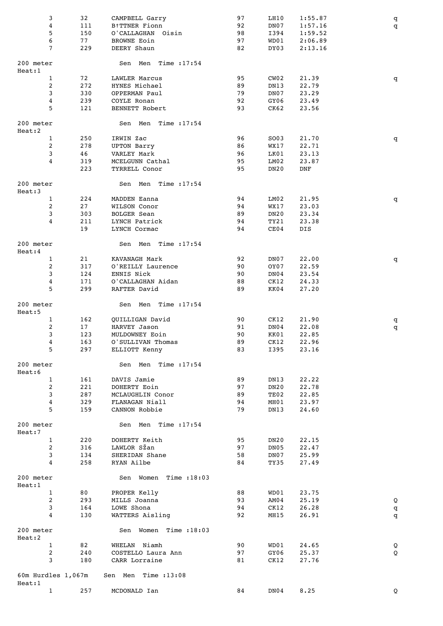| 3<br>4<br>5                         | 32<br>111<br>150 | CAMPBELL Garry<br>B†TTNER Fionn<br>O'CALLAGHAN Oisin | 97<br>92<br>98 | LH10<br>DN07<br>I394 | 1:55.87<br>1:57.16<br>1:59.52 | q<br>q |
|-------------------------------------|------------------|------------------------------------------------------|----------------|----------------------|-------------------------------|--------|
| 6                                   | 77               | <b>BROWNE Eoin</b>                                   | 97             | WD01                 | 2:06.89                       |        |
| $\overline{7}$                      | 229              | DEERY Shaun                                          | 82             | DY03                 | 2:13.16                       |        |
| 200 meter<br>Heat:1                 |                  | Sen Men Time :17:54                                  |                |                      |                               |        |
| $\mathbf{1}$                        | 72               | LAWLER Marcus                                        | 95             | CWO2                 | 21.39                         | q      |
| 2                                   | 272              | HYNES Michael                                        | 89             | DN13                 | 22.79                         |        |
| 3                                   | 330              | OPPERMAN Paul                                        | 79             | DN07                 | 23.29                         |        |
| 4                                   | 239              | COYLE Ronan                                          | 92             | GY06                 | 23.49                         |        |
| 5                                   | 121              | BENNETT Robert                                       | 93             | CK62                 | 23.56                         |        |
| 200 meter<br>Heat:2<br>$\mathbf{1}$ | 250              | Sen Men Time :17:54                                  | 96             |                      |                               |        |
| 2                                   | 278              | IRWIN Zac<br><b>UPTON Barry</b>                      | 86             | SO03<br>WX17         | 21.70<br>22.71                | q      |
| 3                                   | 46               | VARLEY Mark                                          | 96             | LK01                 | 23.13                         |        |
| $\overline{4}$                      | 319              | MCELGUNN Cathal                                      | 95             | LM02                 | 23.87                         |        |
|                                     | 223              | TYRRELL Conor                                        | 95             | <b>DN20</b>          | DNF                           |        |
| 200 meter<br>Heat:3                 |                  | Sen Men<br>Time : $17:54$                            |                |                      |                               |        |
| $\mathbf{1}$                        | 224              | MADDEN Eanna                                         | 94             | LM02                 | 21.95                         | q      |
| 2                                   | 27               | WILSON Conor                                         | 94             | WX17                 | 23.03                         |        |
| 3                                   | 303              | <b>BOLGER Sean</b>                                   | 89             | DN20                 | 23.34                         |        |
| 4                                   | 211<br>19        | LYNCH Patrick                                        | 94<br>94       | TY21<br>CE04         | 23.38                         |        |
| 200 meter                           |                  | LYNCH Cormac<br>Sen Men Time :17:54                  |                |                      | DIS                           |        |
| Heat:4                              |                  |                                                      |                |                      |                               |        |
| $\mathbf{1}$                        | 21               | KAVANAGH Mark                                        | 92             | DN07                 | 22.00                         | q      |
| 2                                   | 317              | O'REILLY Laurence                                    | 90             | OY07                 | 22.59                         |        |
| 3                                   | 124              | ENNIS Nick                                           | 90             | DN04                 | 23.54                         |        |
| $\overline{4}$<br>5                 | 171              | O'CALLAGHAN Aidan                                    | 88             | CK12                 | 24.33                         |        |
|                                     | 299              | RAFTER David                                         | 89             | KK04                 | 27.20                         |        |
| 200 meter<br>Heat:5<br>$\mathbf{1}$ | 162              | Sen Men Time :17:54                                  | 90             |                      | 21.90                         |        |
| 2                                   | 17               | QUILLIGAN David<br>HARVEY Jason                      | 91             | CK12<br>DN04         | 22.08                         | q<br>q |
| 3                                   | 123              | MULDOWNEY Eoin                                       | 90             | KK01                 | 22.85                         |        |
| 4                                   | 163              | O'SULLIVAN Thomas                                    | 89             | CK12                 | 22.96                         |        |
| 5                                   | 297              | ELLIOTT Kenny                                        | 83             | I395                 | 23.16                         |        |
| 200 meter<br>Heat:6                 |                  | Sen Men Time :17:54                                  |                |                      |                               |        |
| $\mathbf{1}$                        | 161              | DAVIS Jamie                                          | 89             | DN13                 | 22.22                         |        |
| 2                                   | 221              | DOHERTY Eoin                                         | 97             | <b>DN20</b>          | 22.78                         |        |
| 3                                   | 287              | MCLAUGHLIN Conor                                     | 89             | TE02                 | 22.85                         |        |
| 4                                   | 329              | FLANAGAN Niall                                       | 94             | MH01                 | 23.97                         |        |
| 5                                   | 159              | CANNON Robbie                                        | 79             | DN13                 | 24.60                         |        |
| 200 meter<br>Heat:7                 |                  | Sen Men Time :17:54                                  |                |                      |                               |        |
| $\mathbf{1}$                        | 220              | DOHERTY Keith                                        | 95             | DN20                 | 22.15                         |        |
| 2                                   | 316              | LAWLOR SŽan                                          | 97             | DN <sub>05</sub>     | 22.47                         |        |
| 3                                   | 134              | SHERIDAN Shane                                       | 58             | DN07                 | 25.99                         |        |
| 4                                   | 258              | RYAN Ailbe                                           | 84             | TY35                 | 27.49                         |        |
| 200 meter<br>Heat:1                 |                  | Sen Women Time : 18:03                               |                |                      |                               |        |
| $\mathbf{1}$                        | 80               | PROPER Kelly                                         | 88             | WD01                 | 23.75                         |        |
| 2                                   | 293              | MILLS Joanna                                         | 93             | AM04                 | 25.19                         | Q      |
| 3                                   | 164              | LOWE Shona                                           | 94             | CK12                 | 26.28                         | q      |
| 4                                   | 130              | WATTERS Aisling                                      | 92             | MH15                 | 26.91                         | q      |
| 200 meter                           |                  | Sen Women Time : 18:03                               |                |                      |                               |        |
| Heat:2                              |                  |                                                      |                |                      |                               |        |
| $\mathbf{1}$<br>$\mathbf{2}$        | 82<br>240        | WHELAN Niamh<br>COSTELLO Laura Ann                   | 90<br>97       | WD01<br>GY06         | 24.65<br>25.37                | Q<br>Q |
| 3                                   | 180              | CARR Lorraine                                        | 81             | CK12                 | 27.76                         |        |
| 60m Hurdles 1,067m                  |                  | Sen Men Time : 13:08                                 |                |                      |                               |        |
| Heat:1<br>$\mathbf{1}$              | 257              |                                                      | 84             | DN04                 | 8.25                          |        |
|                                     |                  | MCDONALD Ian                                         |                |                      |                               | Q      |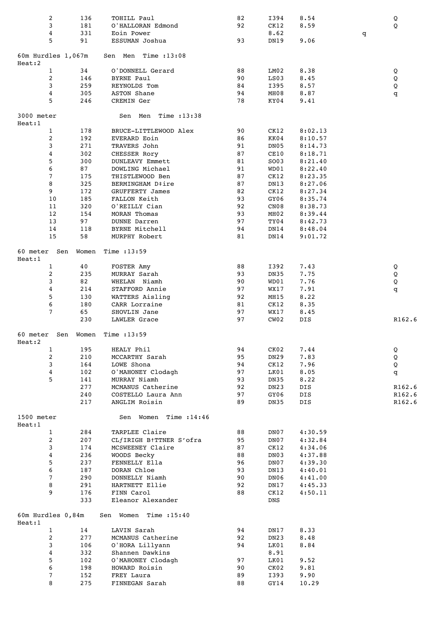| 2                           | 136   | TOHILL Paul              | 82 | I394        | 8.54    |   | Q      |
|-----------------------------|-------|--------------------------|----|-------------|---------|---|--------|
| 3                           | 181   | O'HALLORAN Edmond        | 92 | CK12        | 8.59    |   | Q      |
| 4                           | 331   | Eoin Power               |    | 8.62        |         | q |        |
| 5                           | 91    | ESSUMAN Joshua           | 93 | DN19        | 9.06    |   |        |
|                             |       |                          |    |             |         |   |        |
|                             |       |                          |    |             |         |   |        |
| 60m Hurdles 1,067m          |       | Sen Men<br>Time $:13:08$ |    |             |         |   |        |
| Heat:2                      |       |                          |    |             |         |   |        |
| $\mathbf{1}$                | 34    | O'DONNELL Gerard         | 88 | LM02        | 8.38    |   | Q      |
| $\overline{a}$              | 146   | <b>BYRNE Paul</b>        | 90 | LS03        | 8.45    |   | Q      |
| 3                           | 259   | REYNOLDS Tom             | 84 | I395        | 8.57    |   | Q      |
| 4                           | 305   | ASTON Shane              | 94 | MH08        | 8.87    |   | q      |
| 5                           | 246   | CREMIN Ger               | 78 | KY04        | 9.41    |   |        |
|                             |       |                          |    |             |         |   |        |
| 3000 meter                  |       | Time :13:38<br>Sen Men   |    |             |         |   |        |
|                             |       |                          |    |             |         |   |        |
| Heat:1                      |       |                          |    |             |         |   |        |
| $\mathbf{1}$                | 178   | BRUCE-LITTLEWOOD Alex    | 90 | CK12        | 8:02.13 |   |        |
| $\overline{a}$              | 192   | EVERARD Eoin             | 86 | KK04        | 8:10.57 |   |        |
| 3                           | 271   | TRAVERS John             | 91 | DN05        | 8:14.73 |   |        |
| 4                           | 302   | CHESSER Rory             | 87 | CE10        | 8:18.71 |   |        |
| 5                           | 300   | DUNLEAVY Emmett          | 81 | SO03        | 8:21.40 |   |        |
| 6                           | 87    | DOWLING Michael          | 91 | WD01        | 8:22.40 |   |        |
| 7                           | 175   | THISTLEWOOD Ben          | 87 | CK12        | 8:23.35 |   |        |
| 8                           | 325   | BERMINGHAM D‡ire         | 87 | DN13        | 8:27.06 |   |        |
|                             |       |                          |    |             |         |   |        |
| 9                           | 172   | GRUFFERTY James          | 82 | CK12        | 8:27.34 |   |        |
| 10                          | 185   | FALLON Keith             | 93 | GY06        | 8:35.74 |   |        |
| 11                          | 320   | O'REILLY Cian            | 92 | CNO8        | 8:38.73 |   |        |
| 12                          | 154   | <b>MORAN Thomas</b>      | 93 | MH02        | 8:39.44 |   |        |
| 13                          | 97    | <b>DUNNE Darren</b>      | 97 | TY04        | 8:42.73 |   |        |
| 14                          | 118   | BYRNE Mitchell           | 94 | DN14        | 8:48.04 |   |        |
| 15                          | 58    | MURPHY Robert            | 81 | DN14        | 9:01.72 |   |        |
|                             |       |                          |    |             |         |   |        |
|                             |       |                          |    |             |         |   |        |
| 60 meter Sen                | Women | Time $:13:59$            |    |             |         |   |        |
| Heat:1                      |       |                          |    |             |         |   |        |
| $\mathbf{1}$                | 40    | FOSTER Amy               | 88 | I392        | 7.43    |   | Q      |
| 2                           | 235   | MURRAY Sarah             | 93 | DN35        | 7.75    |   | Q      |
| 3                           | 82    | WHELAN Niamh             | 90 | WD01        | 7.76    |   | Q      |
| 4                           | 214   | STAFFORD Annie           | 97 | WX17        | 7.91    |   | q      |
| 5                           | 130   | WATTERS Aisling          | 92 | MH15        | 8.22    |   |        |
| 6                           | 180   | CARR Lorraine            | 81 | CK12        | 8.35    |   |        |
| $\overline{7}$              | 65    | SHOVLIN Jane             | 97 | WX17        | 8.45    |   |        |
|                             | 230   |                          | 97 | CW02        | DIS     |   | R162.6 |
|                             |       | LAWLER Grace             |    |             |         |   |        |
|                             |       |                          |    |             |         |   |        |
| 60 meter                    | Sen   | Women Time $:13:59$      |    |             |         |   |        |
| Heat:2                      |       |                          |    |             |         |   |        |
| 1                           | 195   | HEALY Phil               | 94 | CK02        | 7.44    |   | Q      |
| $\mathbf{2}$                | 210   | MCCARTHY Sarah           | 95 | DN29        | 7.83    |   | Q      |
| 3                           | 164   | LOWE Shona               | 94 | CK12        | 7.96    |   | Q      |
| 4                           | 102   | O'MAHONEY Clodagh        | 97 | LK01        | 8.05    |   | q      |
| 5                           | 141   | MURRAY Niamh             | 93 | DN35        | 8.22    |   |        |
|                             | 277   | MCMANUS Catherine        | 92 | DN23        | DIS     |   | R162.6 |
|                             |       |                          |    |             |         |   |        |
|                             | 240   | COSTELLO Laura Ann       | 97 | GY06        | DIS     |   | R162.6 |
|                             | 217   | ANGLIM Roisin            | 89 | <b>DN35</b> | DIS     |   | R162.6 |
|                             |       |                          |    |             |         |   |        |
| 1500 meter                  |       | Sen Women Time : 14:46   |    |             |         |   |        |
| Heat:1                      |       |                          |    |             |         |   |        |
| $\mathbf{1}$                | 284   | TARPLEE Claire           | 88 | DN07        | 4:30.59 |   |        |
| $\overline{a}$              | 207   | CLfIRIGH B†TTNER S'ofra  | 95 | DN07        | 4:32.84 |   |        |
| $\mathbf{3}$                | 174   | MCSWEENEY Claire         | 87 | CK12        | 4:34.06 |   |        |
| 4                           | 236   | WOODS Becky              | 88 | DN03        | 4:37.88 |   |        |
|                             |       |                          |    |             |         |   |        |
| 5                           | 237   | FENNELLY Ella            | 96 | DN07        | 4:39.30 |   |        |
| 6                           | 187   | DORAN Chloe              | 93 | DN13        | 4:40.01 |   |        |
| $7\phantom{.}$              | 290   | DONNELLY Niamh           | 90 | DN06        | 4:41.00 |   |        |
| 8                           | 291   | HARTNETT Ellie           | 92 | DN17        | 4:45.33 |   |        |
| 9                           | 176   | FINN Carol               | 88 | CK12        | 4:50.11 |   |        |
|                             | 333   | Eleanor Alexander        |    | DNS         |         |   |        |
|                             |       |                          |    |             |         |   |        |
| 60m Hurdles 0,84m<br>Heat:1 |       | Sen Women Time : 15:40   |    |             |         |   |        |
| $\mathbf{1}$                | 14    | LAVIN Sarah              | 94 | DN17        | 8.33    |   |        |
|                             |       |                          |    |             |         |   |        |
| $\overline{a}$              | 277   | MCMANUS Catherine        | 92 | DN23        | 8.48    |   |        |
| $\mathbf{3}$                | 106   | O'HORA Lillyann          | 94 | LK01        | 8.84    |   |        |
| 4                           | 332   | Shannen Dawkins          |    | 8.91        |         |   |        |
| 5                           | 102   | O'MAHONEY Clodagh        | 97 | LK01        | 9.52    |   |        |
| 6                           | 198   | HOWARD Roisin            | 90 | CK02        | 9.81    |   |        |
| $\overline{7}$              | 152   | FREY Laura               | 89 | I393        | 9.90    |   |        |
| 8                           | 275   | FINNEGAN Sarah           | 88 | GY14        | 10.29   |   |        |
|                             |       |                          |    |             |         |   |        |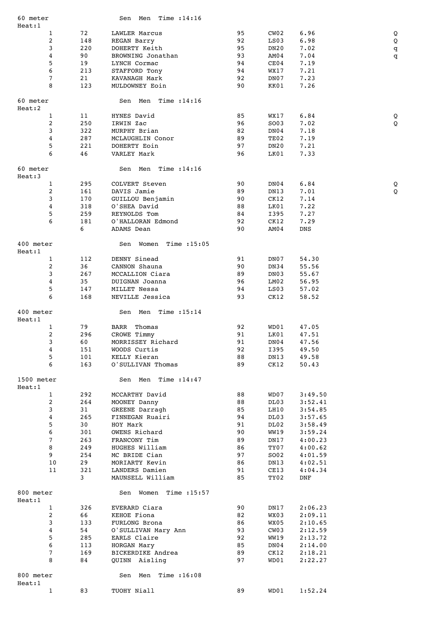| 60 meter             |            | Sen Men Time :14:16                 |          |                  |                |              |
|----------------------|------------|-------------------------------------|----------|------------------|----------------|--------------|
| Heat:1               |            |                                     |          |                  |                |              |
| $\mathbf{1}$<br>2    | 72         | LAWLER Marcus                       | 95       | CWO2             | 6.96           | Q            |
| 3                    | 148<br>220 | <b>REGAN Barry</b><br>DOHERTY Keith | 92<br>95 | LS03<br>DN20     | 6.98<br>7.02   | Q            |
| 4                    | 90         | BROWNING Jonathan                   | 93       | AM04             | 7.04           | q<br>q       |
| 5                    | 19         | LYNCH Cormac                        | 94       | CE04             | 7.19           |              |
| 6                    | 213        | STAFFORD Tony                       | 94       | WX17             | 7.21           |              |
| 7                    | 21         | KAVANAGH Mark                       | 92       | DN07             | 7.23           |              |
| 8                    | 123        | MULDOWNEY Eoin                      | 90       | KK01             | 7.26           |              |
|                      |            |                                     |          |                  |                |              |
| 60 meter<br>Heat:2   |            | Sen Men Time : 14:16                |          |                  |                |              |
| $\mathbf{1}$         | 11         | HYNES David                         | 85       | WX17             | 6.84           | Q            |
| 2                    | 250        | IRWIN Zac                           | 96       | SO03             | 7.02           | $\mathsf{Q}$ |
| 3                    | 322        | MURPHY Brian                        | 82       | DN04             | 7.18           |              |
| 4                    | 287        | MCLAUGHLIN Conor                    | 89       | TE02             | 7.19           |              |
| 5                    | 221        | DOHERTY Eoin                        | 97       | DN <sub>20</sub> | 7.21           |              |
| 6                    | 46         | VARLEY Mark                         | 96       | LK01             | 7.33           |              |
|                      |            |                                     |          |                  |                |              |
| 60 meter             |            | Sen Men Time : 14:16                |          |                  |                |              |
| Heat:3               |            |                                     |          |                  |                |              |
| $\mathbf{1}$         | 295        | COLVERT Steven                      | 90       | DN04             | 6.84           | Q            |
| 2                    | 161        | DAVIS Jamie                         | 89       | DN13             | 7.01           | Q            |
| 3                    | 170        | GUILLOU Benjamin                    | 90       | CK12             | 7.14           |              |
| 4                    | 318        | O'SHEA David                        | 88       | LK01             | 7.22           |              |
| 5                    | 259        | REYNOLDS Tom                        | 84       | I395             | 7.27           |              |
| 6                    | 181        | O'HALLORAN Edmond                   | 92       | CK12             | 7.29           |              |
|                      | 6          | ADAMS Dean                          | 90       | AM04             | DNS            |              |
| 400 meter            |            | Sen Women Time :15:05               |          |                  |                |              |
| Heat:1               |            |                                     |          |                  |                |              |
| $\mathbf{1}$         | 112        | DENNY Sinead                        | 91       | DN07             | 54.30          |              |
| $\overline{c}$       | 36         | CANNON Shauna                       | 90       | DN34             | 55.56          |              |
| 3                    | 267        | MCCALLION Ciara                     | 89       | DN03             | 55.67          |              |
| 4                    | 35         | DUIGNAN Joanna                      | 96       | LM02             | 56.95          |              |
| 5                    | 147        | MILLET Nessa                        | 94       | LS03             | 57.02          |              |
| 6                    | 168        | NEVILLE Jessica                     | 93       | CK12             | 58.52          |              |
| 400 meter            |            | Sen Men Time : 15:14                |          |                  |                |              |
| Heat:1               |            |                                     |          |                  |                |              |
| $\mathbf{1}$         | 79         | <b>BARR</b> Thomas                  | 92       | WD01             | 47.05          |              |
| 2                    | 296        | CROWE Timmy<br>MORRISSEY Richard    | 91       | LK01             | 47.51          |              |
| 3                    | 60         |                                     | 91       | DN04             | 47.56          |              |
| 4                    | 151        | WOODS Curtis<br>KELLY Kieran        | 92       | I395             | 49.50          |              |
| 5<br>6               | 101<br>163 | O'SULLIVAN Thomas                   | 88<br>89 | DN13<br>CK12     | 49.58<br>50.43 |              |
|                      |            |                                     |          |                  |                |              |
| 1500 meter<br>Heat:1 |            | Sen Men Time : 14:47                |          |                  |                |              |
| $\mathbf{1}$         | 292        | MCCARTHY David                      | 88       | WD07             | 3:49.50        |              |
| $\overline{a}$       | 264        | MOONEY Danny                        | 88       | DL03             | 3:52.41        |              |
| 3                    | 31         | GREENE Darragh                      | 85       | LH10             | 3:54.85        |              |
| 4                    | 265        | FINNEGAN Ruairi                     | 94       | DL03             | 3:57.65        |              |
| 5                    | 30         | HOY Mark                            | 91       | DL02             | 3:58.49        |              |
| 6                    | 301        | OWENS Richard                       | 90       | <b>WW19</b>      | 3:59.24        |              |
| $\overline{7}$       | 263        | FRANCONY Tim                        | 89       | DN17             | 4:00.23        |              |
| 8                    | 249        | HUGHES William                      | 86       | TY07             | 4:00.62        |              |
| 9                    | 254        | MC BRIDE Cian                       | 97       | SO02             | 4:01.59        |              |
| 10                   | 29         | MORIARTY Kevin                      | 86       | DN13             | 4:02.51        |              |
| 11                   | 321        | LANDERS Damien                      | 91       | CE13             | 4:04.34        |              |
|                      | 3          | MAUNSELL William                    | 85       | TY02             | DNF            |              |
| 800 meter            |            |                                     |          |                  |                |              |
|                      |            | Sen Women Time :15:57               |          |                  |                |              |
| Heat:1               |            |                                     |          |                  |                |              |
| $\mathbf{1}$         | 326        | EVERARD Ciara                       | 90       | DN17             | 2:06.23        |              |
| $\mathbf{2}$         | 66         | KEHOE Fiona                         | 82       | WX03             | 2:09.11        |              |
| 3                    | 133        | FURLONG Brona                       | 86       | WX05             | 2:10.65        |              |
| 4                    | 54         | O'SULLIVAN Mary Ann                 | 93       | CW03             | 2:12.59        |              |
| 5                    | 285        | EARLS Claire                        | 92       | WW19             | 2:13.72        |              |
| 6                    | 113        | HORGAN Mary                         | 85       | DN04             | 2:14.00        |              |
| 7                    | 169        | BICKERDIKE Andrea                   | 89       | CK12             | 2:18.21        |              |
| 8                    | 84         | QUINN Aisling                       | 97       | WD01             | 2:22.27        |              |
| 800 meter<br>Heat:1  |            | Sen Men Time : 16:08                |          |                  |                |              |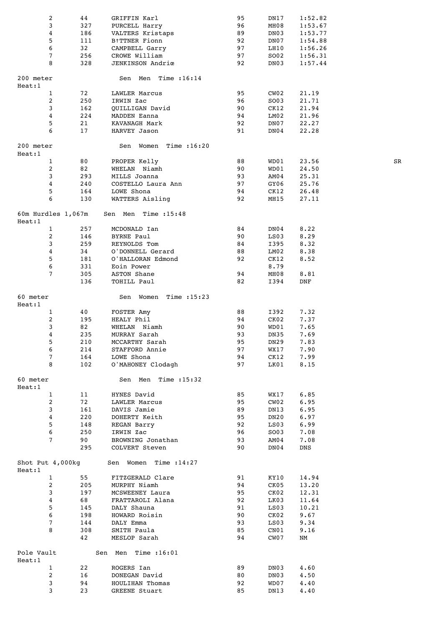|                    | 2              | 44  | GRIFFIN Karl            | 95 | DN17 | 1:52.82    |    |
|--------------------|----------------|-----|-------------------------|----|------|------------|----|
|                    | 3              | 327 | PURCELL Harry           | 96 | MH08 | 1:53.67    |    |
|                    | 4              | 186 | VALTERS Kristaps        | 89 | DN03 | 1:53.77    |    |
|                    |                |     |                         |    |      |            |    |
|                    | 5              | 111 | B†TTNER Fionn           | 92 | DN07 | 1:54.88    |    |
|                    | 6              | 32  | CAMPBELL Garry          | 97 | LH10 | 1:56.26    |    |
|                    | 7              | 256 | CROWE William           | 97 | SO02 | 1:56.31    |    |
|                    | 8              | 328 | <b>JENKINSON Andriœ</b> | 92 | DN03 | 1:57.44    |    |
|                    |                |     |                         |    |      |            |    |
|                    |                |     |                         |    |      |            |    |
| 200 meter          |                |     | Sen Men Time :16:14     |    |      |            |    |
| Heat:1             |                |     |                         |    |      |            |    |
|                    | $\mathbf{1}$   | 72  | LAWLER Marcus           | 95 | CW02 | 21.19      |    |
|                    | 2              | 250 | IRWIN Zac               | 96 | SO03 | 21.71      |    |
|                    | 3              | 162 | <b>QUILLIGAN David</b>  | 90 | CK12 | 21.94      |    |
|                    |                |     |                         |    |      |            |    |
|                    | $\overline{4}$ | 224 | MADDEN Eanna            | 94 | LM02 | 21.96      |    |
|                    | 5              | 21  | KAVANAGH Mark           | 92 | DN07 | 22.27      |    |
|                    | 6              | 17  | HARVEY Jason            | 91 | DN04 | 22.28      |    |
|                    |                |     |                         |    |      |            |    |
| 200 meter          |                |     | Sen Women Time :16:20   |    |      |            |    |
|                    |                |     |                         |    |      |            |    |
| Heat:1             |                |     |                         |    |      |            |    |
|                    | $\mathbf{1}$   | 80  | PROPER Kelly            | 88 | WD01 | 23.56      | SR |
|                    | 2              | 82  | WHELAN Niamh            | 90 | WD01 | 24.50      |    |
|                    | 3              | 293 | MILLS Joanna            | 93 | AM04 | 25.31      |    |
|                    | 4              | 240 | COSTELLO Laura Ann      | 97 | GY06 | 25.76      |    |
|                    |                |     |                         |    |      |            |    |
|                    | 5              | 164 | LOWE Shona              | 94 | CK12 | 26.48      |    |
|                    | 6              | 130 | WATTERS Aisling         | 92 | MH15 | 27.11      |    |
|                    |                |     |                         |    |      |            |    |
| 60m Hurdles 1,067m |                |     | Sen Men Time : 15:48    |    |      |            |    |
| Heat:1             |                |     |                         |    |      |            |    |
|                    |                |     |                         |    |      |            |    |
|                    | $\mathbf{1}$   | 257 | MCDONALD Ian            | 84 | DN04 | 8.22       |    |
|                    | 2              | 146 | BYRNE Paul              | 90 | LS03 | 8.29       |    |
|                    | 3              | 259 | REYNOLDS Tom            | 84 | I395 | 8.32       |    |
|                    | 4              | 34  | O'DONNELL Gerard        | 88 | LM02 | 8.38       |    |
|                    |                |     |                         |    |      |            |    |
|                    | 5              | 181 | O'HALLORAN Edmond       | 92 | CK12 | 8.52       |    |
|                    | 6              | 331 | Eoin Power              |    | 8.79 |            |    |
|                    | 7              | 305 | ASTON Shane             | 94 | MH08 | 8.81       |    |
|                    |                | 136 | TOHILL Paul             | 82 | I394 | <b>DNF</b> |    |
|                    |                |     |                         |    |      |            |    |
| 60 meter           |                |     |                         |    |      |            |    |
|                    |                |     | Sen Women Time :15:23   |    |      |            |    |
| Heat:1             |                |     |                         |    |      |            |    |
|                    | $\mathbf{1}$   | 40  | FOSTER Amy              | 88 | I392 | 7.32       |    |
|                    | 2              | 195 | HEALY Phil              | 94 | CK02 | 7.37       |    |
|                    | 3              | 82  | WHELAN Niamh            | 90 | WD01 | 7.65       |    |
|                    |                |     |                         |    |      |            |    |
|                    | 4              | 235 | MURRAY Sarah            | 93 | DN35 | 7.69       |    |
|                    | 5              | 210 | MCCARTHY Sarah          | 95 | DN29 | 7.83       |    |
|                    | 6              | 214 | STAFFORD Annie          | 97 | WX17 | 7.90       |    |
|                    | $\sqrt{7}$     | 164 | LOWE Shona              | 94 | CK12 | 7.99       |    |
|                    | 8              | 102 | O'MAHONEY Clodagh       | 97 | LK01 | 8.15       |    |
|                    |                |     |                         |    |      |            |    |
|                    |                |     |                         |    |      |            |    |
| 60 meter           |                |     | Sen Men Time : 15:32    |    |      |            |    |
| Heat:1             |                |     |                         |    |      |            |    |
|                    | $\mathbf{1}$   | 11  | HYNES David             | 85 | WX17 | 6.85       |    |
|                    | 2              | 72  | LAWLER Marcus           | 95 | CW02 | 6.95       |    |
|                    | 3              | 161 | DAVIS Jamie             | 89 | DN13 | 6.95       |    |
|                    |                |     |                         |    |      |            |    |
|                    | 4              | 220 | DOHERTY Keith           | 95 | DN20 | 6.97       |    |
|                    | 5              | 148 | REGAN Barry             | 92 | LS03 | 6.99       |    |
|                    | 6              | 250 | IRWIN Zac               | 96 | SO03 | 7.08       |    |
|                    | 7              | 90  | BROWNING Jonathan       | 93 | AM04 | 7.08       |    |
|                    |                | 295 | COLVERT Steven          | 90 | DN04 | DNS        |    |
|                    |                |     |                         |    |      |            |    |
|                    |                |     |                         |    |      |            |    |
| Shot Put 4,000kg   |                |     | Sen Women Time : 14:27  |    |      |            |    |
| Heat:1             |                |     |                         |    |      |            |    |
|                    | $\mathbf{1}$   | 55  | FITZGERALD Clare        | 91 | KY10 | 14.94      |    |
|                    | 2              | 205 | MURPHY Niamh            | 94 | CK05 | 13.20      |    |
|                    | 3              | 197 | MCSWEENEY Laura         | 95 | CKO2 | 12.31      |    |
|                    |                |     |                         |    |      |            |    |
|                    | 4              | 68  | FRATTAROLI Alana        | 92 | LK03 | 11.64      |    |
|                    | 5              | 145 | DALY Shauna             | 91 | LS03 | 10.21      |    |
|                    | 6              | 198 | HOWARD Roisin           | 90 | CK02 | 9.67       |    |
|                    | $\overline{7}$ | 144 | DALY Emma               | 93 | LS03 | 9.34       |    |
|                    |                |     |                         |    |      |            |    |
|                    | 8              | 308 | SMITH Paula             | 85 | CNO1 | 9.16       |    |
|                    |                | 42  | MESLOP Sarah            | 94 | CW07 | NM         |    |
|                    |                |     |                         |    |      |            |    |
| Pole Vault         |                |     | Sen Men Time : 16:01    |    |      |            |    |
| Heat:1             |                |     |                         |    |      |            |    |
|                    | $\mathbf{1}$   | 22  | ROGERS Ian              | 89 | DN03 | 4.60       |    |
|                    | 2              | 16  | DONEGAN David           | 80 |      | 4.50       |    |
|                    |                |     |                         |    | DN03 |            |    |
|                    | 3              | 94  | HOULIHAN Thomas         | 92 | WD07 | 4.40       |    |
|                    | 3              | 23  | <b>GREENE Stuart</b>    | 85 | DN13 | 4.40       |    |
|                    |                |     |                         |    |      |            |    |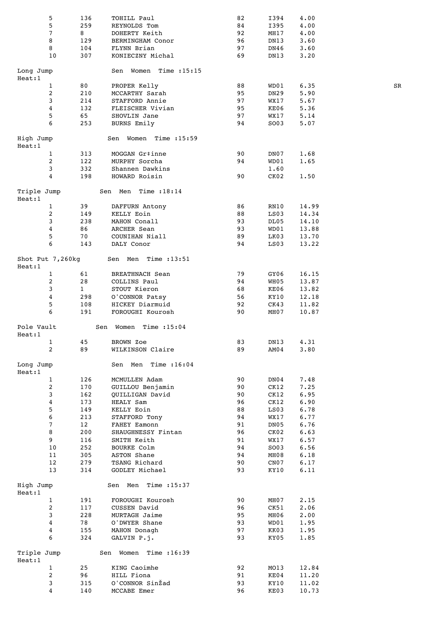| 5                          | 136          | TOHILL Paul                | 82       | I394         | 4.00         |    |
|----------------------------|--------------|----------------------------|----------|--------------|--------------|----|
| 5                          | 259          | REYNOLDS Tom               | 84       | I395         | 4.00         |    |
| 7                          | 8            | DOHERTY Keith              | 92       | MH17         | 4.00         |    |
| 8                          | 129          | BERMINGHAM Conor           | 96       | DN13         | 3.60         |    |
| 8                          | 104          | FLYNN Brian                | 97       | DN46         | 3.60         |    |
| 10                         | 307          | KONIECZNY Michal           | 69       | DN13         | 3.20         |    |
| Long Jump                  |              | Women Time $:15:15$<br>Sen |          |              |              |    |
| Heat:1                     |              |                            |          |              |              |    |
| $\mathbf{1}$               | 80           | PROPER Kelly               | 88       | WD01         | 6.35         | SR |
| $\mathbf{2}$               | 210          | MCCARTHY Sarah             | 95       | DN29         | 5.90         |    |
| 3                          | 214          | STAFFORD Annie             | 97       | WX17         | 5.67         |    |
| 4                          | 132          | FLEISCHER Vivian           | 95       | KE06         | 5.36         |    |
| 5                          | 65           | SHOVLIN Jane               | 97       | WX17         | 5.14         |    |
| 6                          | 253          | BURNS Emily                | 94       | SO03         | 5.07         |    |
| High Jump                  |              | Sen Women Time :15:59      |          |              |              |    |
| Heat:1<br>$\mathbf{1}$     | 313          | MOGGAN Gr‡inne             | 90       | DN07         | 1.68         |    |
| 2                          | 122          | MURPHY Sorcha              | 94       | WD01         | 1.65         |    |
| 3                          | 332          | Shannen Dawkins            |          | 1.60         |              |    |
| 4                          | 198          | HOWARD Roisin              | 90       | CK02         | 1.50         |    |
|                            |              |                            |          |              |              |    |
| Triple Jump<br>Heat:1      |              | Sen Men Time : 18:14       |          |              |              |    |
| $\mathbf{1}$               | 39           | DAFFURN Antony             | 86       | RN10         | 14.99        |    |
| 2                          | 149          | KELLY Eoin                 | 88       | LS03         | 14.34        |    |
| 3                          | 238          | MAHON Conall               | 93       | DL05         | 14.10        |    |
| 4                          | 86           | ARCHER Sean                | 93       | WD01         | 13.88        |    |
| 5                          | 70           | COUNIHAN Niall             | 89       | LK03         | 13.70        |    |
| 6                          | 143          | DALY Conor                 | 94       | LS03         | 13.22        |    |
| Shot Put 7,260kg<br>Heat:1 |              | Sen Men Time :13:51        |          |              |              |    |
| $\mathbf{1}$               | 61           | <b>BREATHNACH Sean</b>     | 79       | GY06         | 16.15        |    |
| $\overline{c}$             | 28           | COLLINS Paul               | 94       | WH05         | 13.87        |    |
| 3                          | $\mathbf{1}$ | STOUT Kieron               | 68       | KE06         | 13.82        |    |
| 4                          | 298          | O'CONNOR Patsy             | 56       | KY10         | 12.18        |    |
| 5                          | 108          | HICKEY Diarmuid            | 92       | CK43         | 11.82        |    |
| 6                          | 191          | FOROUGHI Kourosh           | 90       | MH07         | 10.87        |    |
| Pole Vault<br>Heat:1       |              | Women Time $:15:04$<br>Sen |          |              |              |    |
| $\mathbf{1}$               | 45           | BROWN Zoe                  | 83       | DN13         | 4.31         |    |
| 2                          | 89           | WILKINSON Claire           | 89       | AMO 4        | 3.80         |    |
|                            |              |                            |          |              |              |    |
| Long Jump<br>Heat:1        |              | Sen Men Time : 16:04       |          |              |              |    |
| $\mathbf{1}$               | 126          | MCMULLEN Adam              | 90       | DN04         | 7.48         |    |
| 2                          | 170          | GUILLOU Benjamin           | 90       | CK12         | 7.25         |    |
| 3                          | 162          | <b>QUILLIGAN David</b>     | 90       | CK12         | 6.95         |    |
| 4                          | 173          | <b>HEALY Sam</b>           | 96       | CK12         | 6.90         |    |
| 5                          | 149          | KELLY Eoin                 | 88       | LS03         | 6.78         |    |
| 6                          | 213          | STAFFORD Tony              | 94       | WX17         | 6.77         |    |
| $\overline{7}$             | 12           | FAHEY Eamonn               | 91       | DN05         | 6.76         |    |
| 8<br>9                     | 200          | SHAUGHNESSY Fintan         | 96<br>91 | CKO2         | 6.63         |    |
| 10                         | 116<br>252   | SMITH Keith<br>BOURKE Colm | 94       | WX17<br>SO03 | 6.57<br>6.56 |    |
| 11                         | 305          | ASTON Shane                | 94       | MH08         | 6.18         |    |
| 12                         | 279          | TSANG Richard              | 90       | CNO7         | 6.17         |    |
| 13                         | 314          | GODLEY Michael             | 93       | KY10         | 6.11         |    |
|                            |              |                            |          |              |              |    |
| High Jump<br>Heat:1        |              | Sen Men<br>Time : 15:37    |          |              |              |    |
| $\mathbf{1}$               | 191          | FOROUGHI Kourosh           | 90       | MH07         | 2.15         |    |
| $\overline{c}$             | 117          | CUSSEN David               | 96       | CK51         | 2.06         |    |
| 3                          | 228          | MURTAGH Jaime              | 95       | MH06         | 2.00         |    |
| 4                          | 78           | O'DWYER Shane              | 93       | WD01         | 1.95         |    |
| 4                          | 155          | MAHON Donagh               | 97       | KK03         | 1.95         |    |
| 6                          | 324          | GALVIN P.j.                | 93       | KY05         | 1.85         |    |
| Triple Jump                |              | Sen Women Time : 16:39     |          |              |              |    |
| Heat:1                     |              |                            |          |              |              |    |
| $\mathbf{1}$               | 25           | KING Caoimhe               | 92       | MO13         | 12.84        |    |
| 2                          | 96           | HILL Fiona                 | 91       | KE04         | 11.20        |    |
| 3<br>4                     | 315          | O'CONNOR SinŽad            | 93       | KY10         | 11.02        |    |
|                            | 140          | MCCABE Emer                | 96       | KE03         | 10.73        |    |